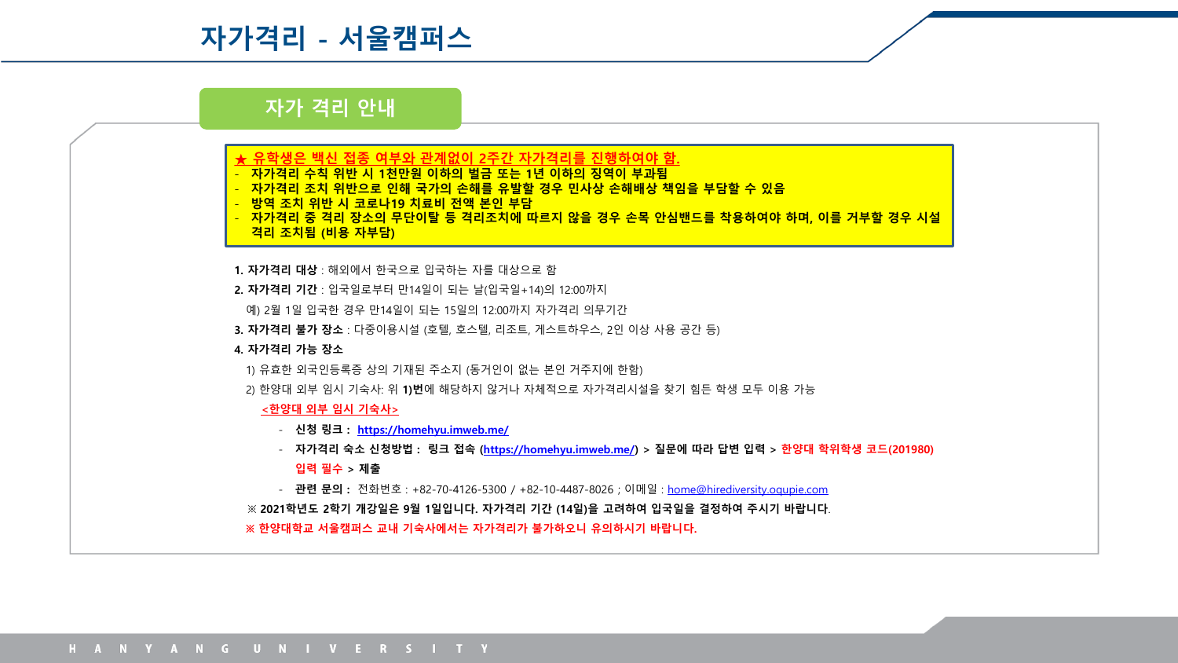# **자가격리 - 서울캠퍼스**

# **자가 격리 안내**

- **★ 유학생은 백신 접종 여부와 관계없이 2주간 자가격리를 진행하여야 함.**
- **자가격리 수칙 위반 시 1천만원 이하의 벌금 또는 1년 이하의 징역이 부과됨**
- $\overline{X}$  지 위반으로 인해 국가의 손해를 유발할 경우 민사상 손해배상 책임을 부담할 수 있음
- **방역 조치 위반 시 코로나19 치료비 전액 본인 부담**
- **자가격리 중 격리 장소의 무단이탈 등 격리조치에 따르지 않을 경우 손목 안심밴드를 착용하여야 하며, 이를 거부할 경우 시설**

## **격리 조치됨 (비용 자부담)**

- **1. 자가격리 대상** : 해외에서 한국으로 입국하는 자를 대상으로 함
- **2. 자가격리 기간** : 입국일로부터 만14일이 되는 날(입국일+14)의 12:00까지
- 예) 2월 1일 입국한 경우 만14일이 되는 15일의 12:00까지 자가격리 의무기간
- **3. 자가격리 불가 장소** : 다중이용시설 (호텔, 호스텔, 리조트, 게스트하우스, 2인 이상 사용 공간 등)

#### **4. 자가격리 가능 장소**

- 1) 유효한 외국인등록증 상의 기재된 주소지 (동거인이 없는 본인 거주지에 한함)
- 2) 한양대 외부 임시 기숙사: 위 **1)번**에 해당하지 않거나 자체적으로 자가격리시설을 찾기 힘든 학생 모두 이용 가능

#### **<한양대 외부 임시 기숙사>**

- **신청 링크 : <https://homehyu.imweb.me/>**

- **자가격리 숙소 신청방법 : 링크 접속 [\(https://homehyu.imweb.me/](https://homehyu.imweb.me/)) > 질문에 따라 답변 입력 > 한양대 학위학생 코드(201980)** 

- **입력 필수 > 제출**
- **관련 문의 :** 전화번호 : +82-70-4126-5300 / +82-10-4487-8026 ; 이메일 : [home@hirediversity.oqupie.com](mailto:home@hirediversity.oqupie.com)

※ **2021학년도 2학기 개강일은 9월 1일입니다. 자가격리 기간 (14일)을 고려하여 입국일을 결정하여 주시기 바랍니다**. **※ 한양대학교 서울캠퍼스 교내 기숙사에서는 자가격리가 불가하오니 유의하시기 바랍니다.**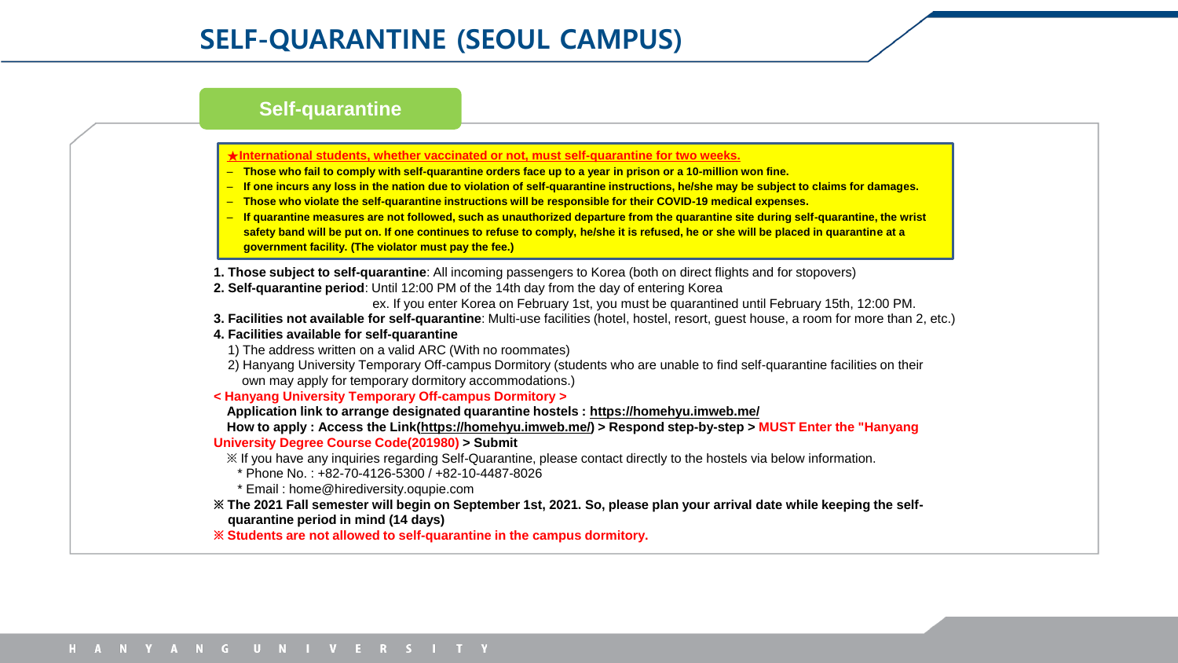## **Self-quarantine**

#### **★International students, whether vaccinated or not, must self-quarantine for two weeks.**

- **Those who fail to comply with self-quarantine orders face up to a year in prison or a 10-million won fine.**
- **If one incurs any loss in the nation due to violation of self-quarantine instructions, he/she may be subject to claims for damages.**
- **Those who violate the self-quarantine instructions will be responsible for their COVID-19 medical expenses.**
- **If quarantine measures are not followed, such as unauthorized departure from the quarantine site during self-quarantine, the wrist safety band will be put on. If one continues to refuse to comply, he/she it is refused, he or she will be placed in quarantine at a government facility. (The violator must pay the fee.)**
- **1. Those subject to self-quarantine**: All incoming passengers to Korea (both on direct flights and for stopovers)
- **2. Self-quarantine period**: Until 12:00 PM of the 14th day from the day of entering Korea
	- ex. If you enter Korea on February 1st, you must be quarantined until February 15th, 12:00 PM.
- **3. Facilities not available for self-quarantine**: Multi-use facilities (hotel, hostel, resort, guest house, a room for more than 2, etc.)

#### **4. Facilities available for self-quarantine**

- 1) The address written on a valid ARC (With no roommates)
- 2) Hanyang University Temporary Off-campus Dormitory (students who are unable to find self-quarantine facilities on their own may apply for temporary dormitory accommodations.)
- **< Hanyang University Temporary Off-campus Dormitory >**

#### **Application link to arrange designated quarantine hostels : https://homehyu.imweb.me/**

**How to apply : Access the Link(https://homehyu.imweb.me/) > Respond step-by-step > MUST Enter the "Hanyang University Degree Course Code(201980) > Submit**

※ If you have any inquiries regarding Self-Quarantine, please contact directly to the hostels via below information.

\* Phone No. : +82-70-4126-5300 / +82-10-4487-8026

\* Email : home@hirediversity.oqupie.com

## **※ The 2021 Fall semester will begin on September 1st, 2021. So, please plan your arrival date while keeping the selfquarantine period in mind (14 days)**

**※ Students are not allowed to self-quarantine in the campus dormitory.**